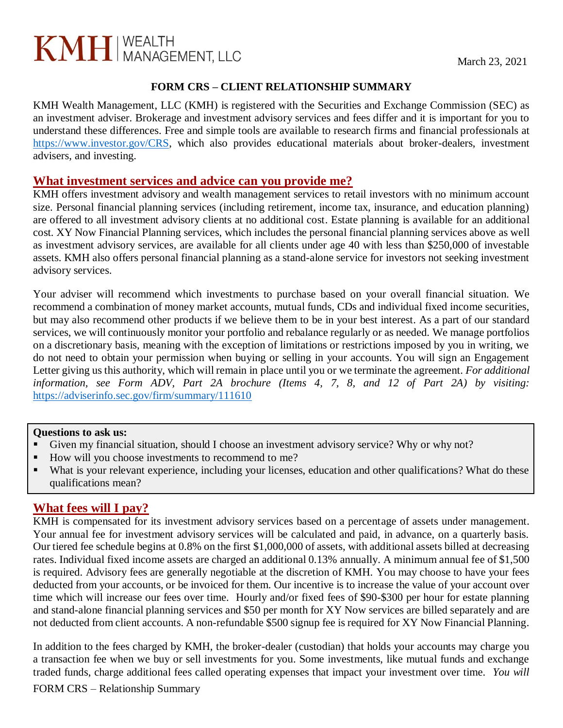# $KMH$  MANAGEMENT, LLC March 23, 2021

# **FORM CRS – CLIENT RELATIONSHIP SUMMARY**

KMH Wealth Management, LLC (KMH) is registered with the Securities and Exchange Commission (SEC) as an investment adviser. Brokerage and investment advisory services and fees differ and it is important for you to understand these differences. Free and simple tools are available to research firms and financial professionals at [https://www.investor.gov/CRS,](https://www.investor.gov/CRS) which also provides educational materials about broker-dealers, investment advisers, and investing.

# **What investment services and advice can you provide me?**

KMH offers investment advisory and wealth management services to retail investors with no minimum account size. Personal financial planning services (including retirement, income tax, insurance, and education planning) are offered to all investment advisory clients at no additional cost. Estate planning is available for an additional cost. XY Now Financial Planning services, which includes the personal financial planning services above as well as investment advisory services, are available for all clients under age 40 with less than \$250,000 of investable assets. KMH also offers personal financial planning as a stand-alone service for investors not seeking investment advisory services.

Your adviser will recommend which investments to purchase based on your overall financial situation. We recommend a combination of money market accounts, mutual funds, CDs and individual fixed income securities, but may also recommend other products if we believe them to be in your best interest. As a part of our standard services, we will continuously monitor your portfolio and rebalance regularly or as needed. We manage portfolios on a discretionary basis, meaning with the exception of limitations or restrictions imposed by you in writing, we do not need to obtain your permission when buying or selling in your accounts. You will sign an Engagement Letter giving us this authority, which will remain in place until you or we terminate the agreement. *For additional information, see Form ADV, Part 2A brochure (Items 4, 7, 8, and 12 of Part 2A) by visiting:* https://adviserinfo.sec.gov/firm/summary/111610

## **Questions to ask us:**

- Given my financial situation, should I choose an investment advisory service? Why or why not?
- How will you choose investments to recommend to me?
- What is your relevant experience, including your licenses, education and other qualifications? What do these qualifications mean?

# **What fees will I pay?**

KMH is compensated for its investment advisory services based on a percentage of assets under management. Your annual fee for investment advisory services will be calculated and paid, in advance, on a quarterly basis. Our tiered fee schedule begins at 0.8% on the first \$1,000,000 of assets, with additional assets billed at decreasing rates. Individual fixed income assets are charged an additional 0.13% annually. A minimum annual fee of \$1,500 is required. Advisory fees are generally negotiable at the discretion of KMH. You may choose to have your fees deducted from your accounts, or be invoiced for them. Our incentive is to increase the value of your account over time which will increase our fees over time. Hourly and/or fixed fees of \$90-\$300 per hour for estate planning and stand-alone financial planning services and \$50 per month for XY Now services are billed separately and are not deducted from client accounts. A non-refundable \$500 signup fee is required for XY Now Financial Planning.

In addition to the fees charged by KMH, the broker-dealer (custodian) that holds your accounts may charge you a transaction fee when we buy or sell investments for you. Some investments, like mutual funds and exchange traded funds, charge additional fees called operating expenses that impact your investment over time. *You will*